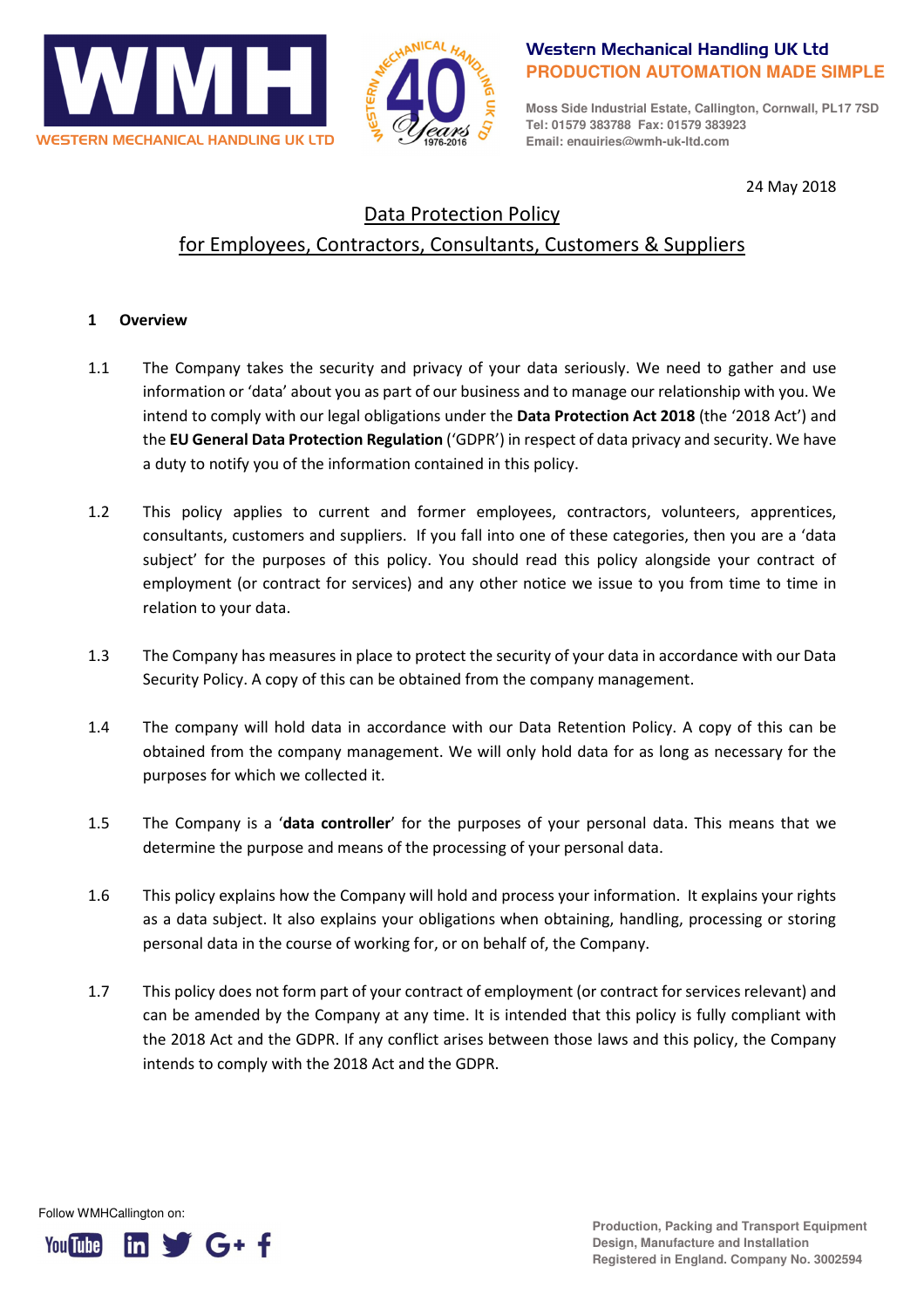



**Moss Side Industrial Estate, Callington, Cornwall, PL17 7SD Tel: 01579 383788 Fax: 01579 383923 Email: enquiries@wmh-uk-ltd.com**

24 May 2018

## Data Protection Policy

# for Employees, Contractors, Consultants, Customers & Suppliers

## 1 Overview

- 1.1 The Company takes the security and privacy of your data seriously. We need to gather and use information or 'data' about you as part of our business and to manage our relationship with you. We intend to comply with our legal obligations under the Data Protection Act 2018 (the '2018 Act') and the EU General Data Protection Regulation ('GDPR') in respect of data privacy and security. We have a duty to notify you of the information contained in this policy.
- 1.2 This policy applies to current and former employees, contractors, volunteers, apprentices, consultants, customers and suppliers. If you fall into one of these categories, then you are a 'data subject' for the purposes of this policy. You should read this policy alongside your contract of employment (or contract for services) and any other notice we issue to you from time to time in relation to your data.
- 1.3 The Company has measures in place to protect the security of your data in accordance with our Data Security Policy. A copy of this can be obtained from the company management.
- 1.4 The company will hold data in accordance with our Data Retention Policy. A copy of this can be obtained from the company management. We will only hold data for as long as necessary for the purposes for which we collected it.
- 1.5 The Company is a 'data controller' for the purposes of your personal data. This means that we determine the purpose and means of the processing of your personal data.
- 1.6 This policy explains how the Company will hold and process your information. It explains your rights as a data subject. It also explains your obligations when obtaining, handling, processing or storing personal data in the course of working for, or on behalf of, the Company.
- 1.7 This policy does not form part of your contract of employment (or contract for services relevant) and can be amended by the Company at any time. It is intended that this policy is fully compliant with the 2018 Act and the GDPR. If any conflict arises between those laws and this policy, the Company intends to comply with the 2018 Act and the GDPR.

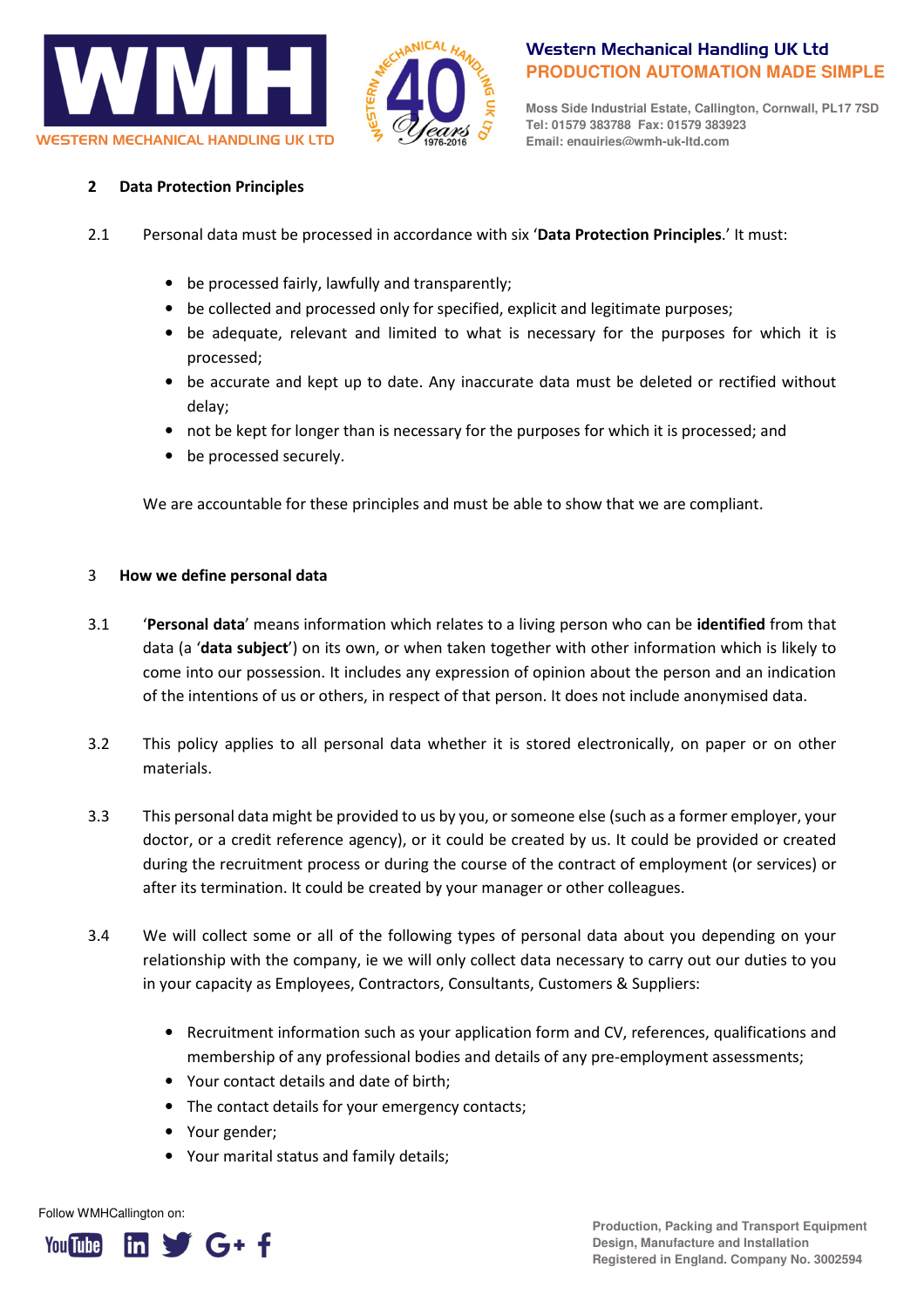



**Moss Side Industrial Estate, Callington, Cornwall, PL17 7SD Tel: 01579 383788 Fax: 01579 383923 Email: enquiries@wmh-uk-ltd.com**

## 2 Data Protection Principles

- 2.1 Personal data must be processed in accordance with six 'Data Protection Principles.' It must:
	- be processed fairly, lawfully and transparently;
	- be collected and processed only for specified, explicit and legitimate purposes;
	- be adequate, relevant and limited to what is necessary for the purposes for which it is processed;
	- be accurate and kept up to date. Any inaccurate data must be deleted or rectified without delay;
	- not be kept for longer than is necessary for the purposes for which it is processed; and
	- be processed securely.

We are accountable for these principles and must be able to show that we are compliant.

#### 3 How we define personal data

- 3.1 'Personal data' means information which relates to a living person who can be identified from that data (a 'data subject') on its own, or when taken together with other information which is likely to come into our possession. It includes any expression of opinion about the person and an indication of the intentions of us or others, in respect of that person. It does not include anonymised data.
- 3.2 This policy applies to all personal data whether it is stored electronically, on paper or on other materials.
- 3.3 This personal data might be provided to us by you, or someone else (such as a former employer, your doctor, or a credit reference agency), or it could be created by us. It could be provided or created during the recruitment process or during the course of the contract of employment (or services) or after its termination. It could be created by your manager or other colleagues.
- 3.4 We will collect some or all of the following types of personal data about you depending on your relationship with the company, ie we will only collect data necessary to carry out our duties to you in your capacity as Employees, Contractors, Consultants, Customers & Suppliers:
	- Recruitment information such as your application form and CV, references, qualifications and membership of any professional bodies and details of any pre-employment assessments;
	- Your contact details and date of birth;
	- The contact details for your emergency contacts;
	- Your gender;
	- Your marital status and family details;

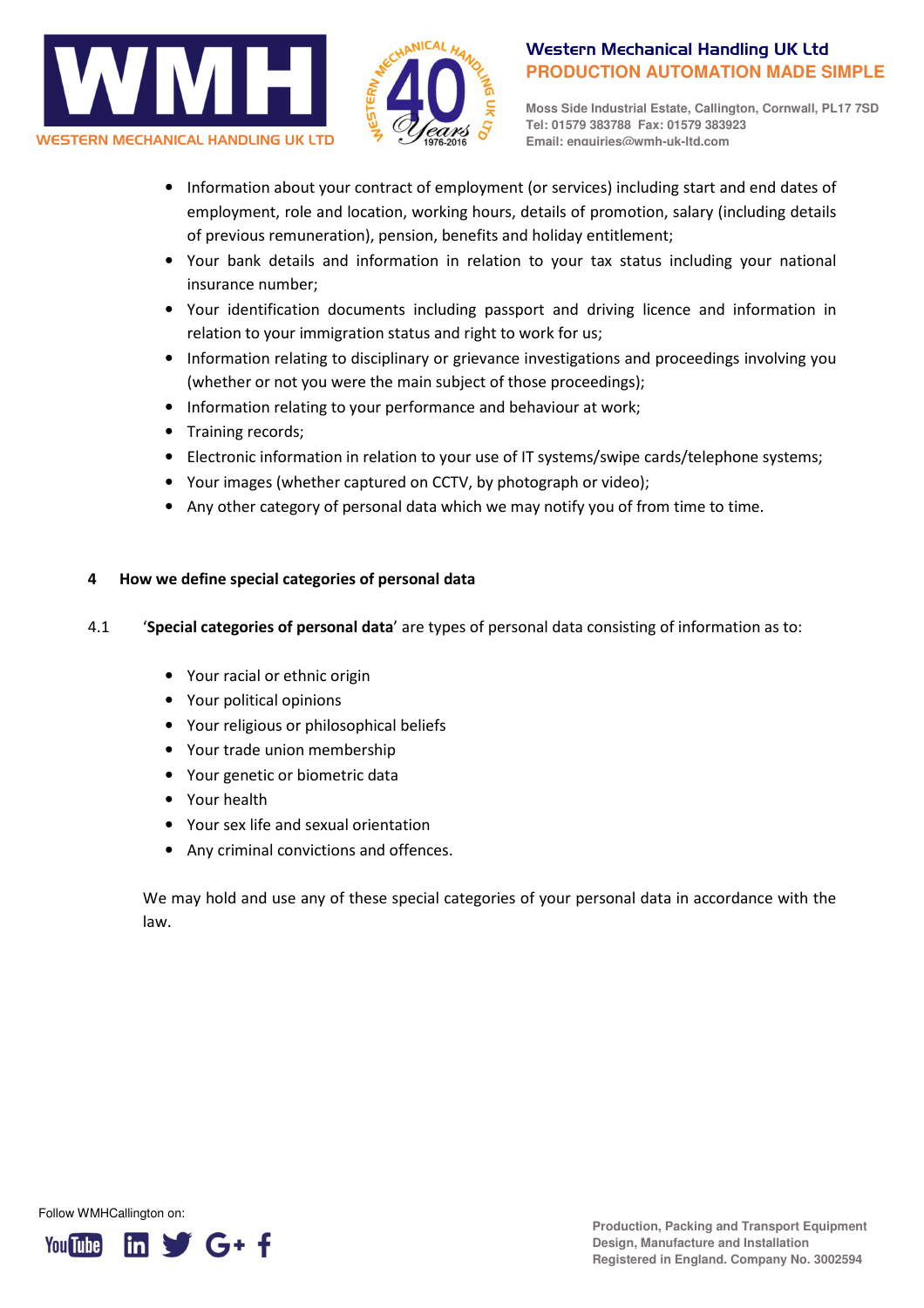



**Moss Side Industrial Estate, Callington, Cornwall, PL17 7SD Tel: 01579 383788 Fax: 01579 383923 Email: enquiries@wmh-uk-ltd.com**

- Information about your contract of employment (or services) including start and end dates of employment, role and location, working hours, details of promotion, salary (including details of previous remuneration), pension, benefits and holiday entitlement;
- Your bank details and information in relation to your tax status including your national insurance number;
- Your identification documents including passport and driving licence and information in relation to your immigration status and right to work for us;
- Information relating to disciplinary or grievance investigations and proceedings involving you (whether or not you were the main subject of those proceedings);
- Information relating to your performance and behaviour at work;
- Training records;
- Electronic information in relation to your use of IT systems/swipe cards/telephone systems;
- Your images (whether captured on CCTV, by photograph or video);
- Any other category of personal data which we may notify you of from time to time.

## 4 How we define special categories of personal data

- 4.1 'Special categories of personal data' are types of personal data consisting of information as to:
	- Your racial or ethnic origin
	- Your political opinions
	- Your religious or philosophical beliefs
	- Your trade union membership
	- Your genetic or biometric data
	- Your health
	- Your sex life and sexual orientation
	- Any criminal convictions and offences.

We may hold and use any of these special categories of your personal data in accordance with the law.

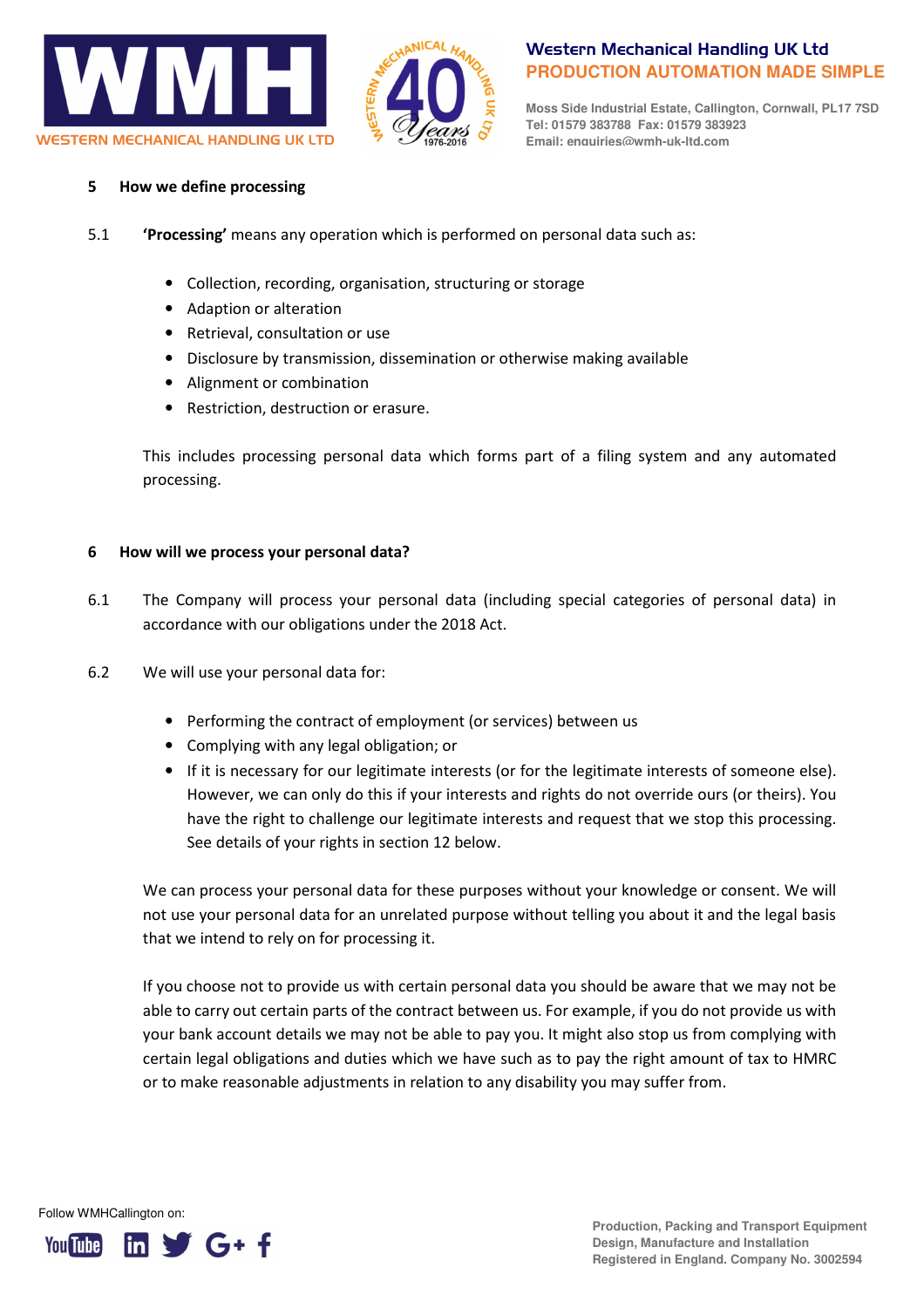



**Moss Side Industrial Estate, Callington, Cornwall, PL17 7SD Tel: 01579 383788 Fax: 01579 383923 Email: enquiries@wmh-uk-ltd.com**

#### 5 How we define processing

- 5.1 'Processing' means any operation which is performed on personal data such as:
	- Collection, recording, organisation, structuring or storage
	- Adaption or alteration
	- Retrieval, consultation or use
	- Disclosure by transmission, dissemination or otherwise making available
	- Alignment or combination
	- Restriction, destruction or erasure.

This includes processing personal data which forms part of a filing system and any automated processing.

#### 6 How will we process your personal data?

- 6.1 The Company will process your personal data (including special categories of personal data) in accordance with our obligations under the 2018 Act.
- 6.2 We will use your personal data for:
	- Performing the contract of employment (or services) between us
	- Complying with any legal obligation; or
	- If it is necessary for our legitimate interests (or for the legitimate interests of someone else). However, we can only do this if your interests and rights do not override ours (or theirs). You have the right to challenge our legitimate interests and request that we stop this processing. See details of your rights in section 12 below.

We can process your personal data for these purposes without your knowledge or consent. We will not use your personal data for an unrelated purpose without telling you about it and the legal basis that we intend to rely on for processing it.

If you choose not to provide us with certain personal data you should be aware that we may not be able to carry out certain parts of the contract between us. For example, if you do not provide us with your bank account details we may not be able to pay you. It might also stop us from complying with certain legal obligations and duties which we have such as to pay the right amount of tax to HMRC or to make reasonable adjustments in relation to any disability you may suffer from.

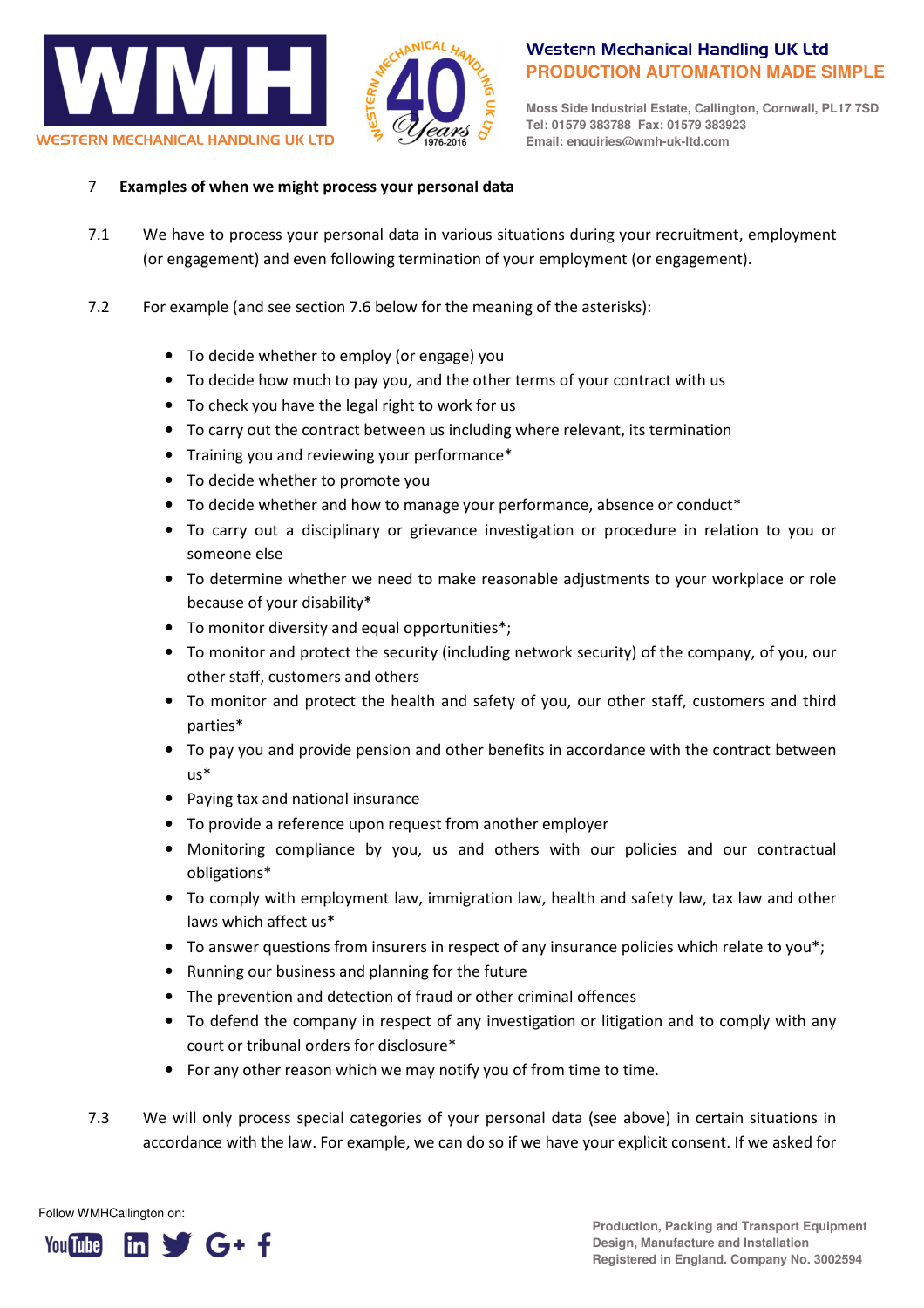



**Moss Side Industrial Estate, Callington, Cornwall, PL17 7SD Tel: 01579 383788 Fax: 01579 383923 Email: enquiries@wmh-uk-ltd.com**

#### 7 Examples of when we might process your personal data

- 7.1 We have to process your personal data in various situations during your recruitment, employment (or engagement) and even following termination of your employment (or engagement).
- 7.2 For example (and see section 7.6 below for the meaning of the asterisks):
	- To decide whether to employ (or engage) you
	- To decide how much to pay you, and the other terms of your contract with us
	- To check you have the legal right to work for us
	- To carry out the contract between us including where relevant, its termination
	- Training you and reviewing your performance\*
	- To decide whether to promote you
	- To decide whether and how to manage your performance, absence or conduct\*
	- To carry out a disciplinary or grievance investigation or procedure in relation to you or someone else
	- To determine whether we need to make reasonable adjustments to your workplace or role because of your disability\*
	- To monitor diversity and equal opportunities\*;
	- To monitor and protect the security (including network security) of the company, of you, our other staff, customers and others
	- To monitor and protect the health and safety of you, our other staff, customers and third parties\*
	- To pay you and provide pension and other benefits in accordance with the contract between us\*
	- Paying tax and national insurance
	- To provide a reference upon request from another employer
	- Monitoring compliance by you, us and others with our policies and our contractual obligations\*
	- To comply with employment law, immigration law, health and safety law, tax law and other laws which affect us\*
	- To answer questions from insurers in respect of any insurance policies which relate to you\*;
	- Running our business and planning for the future
	- The prevention and detection of fraud or other criminal offences
	- To defend the company in respect of any investigation or litigation and to comply with any court or tribunal orders for disclosure\*
	- For any other reason which we may notify you of from time to time.
- 7.3 We will only process special categories of your personal data (see above) in certain situations in accordance with the law. For example, we can do so if we have your explicit consent. If we asked for

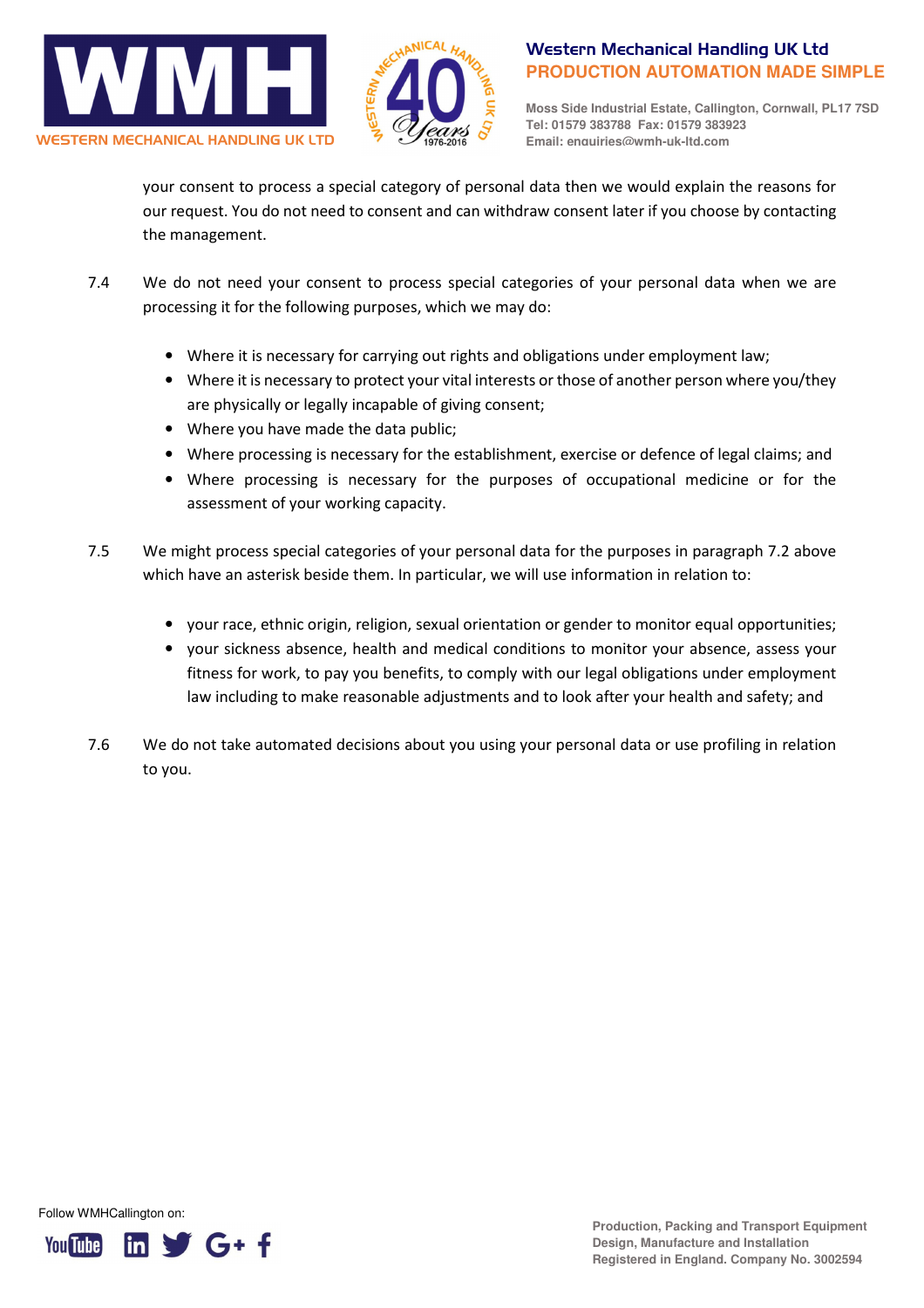



**Moss Side Industrial Estate, Callington, Cornwall, PL17 7SD Tel: 01579 383788 Fax: 01579 383923 Email: enquiries@wmh-uk-ltd.com**

your consent to process a special category of personal data then we would explain the reasons for our request. You do not need to consent and can withdraw consent later if you choose by contacting the management.

- 7.4 We do not need your consent to process special categories of your personal data when we are processing it for the following purposes, which we may do:
	- Where it is necessary for carrying out rights and obligations under employment law;
	- Where it is necessary to protect your vital interests or those of another person where you/they are physically or legally incapable of giving consent;
	- Where you have made the data public;
	- Where processing is necessary for the establishment, exercise or defence of legal claims; and
	- Where processing is necessary for the purposes of occupational medicine or for the assessment of your working capacity.
- 7.5 We might process special categories of your personal data for the purposes in paragraph 7.2 above which have an asterisk beside them. In particular, we will use information in relation to:
	- your race, ethnic origin, religion, sexual orientation or gender to monitor equal opportunities;
	- your sickness absence, health and medical conditions to monitor your absence, assess your fitness for work, to pay you benefits, to comply with our legal obligations under employment law including to make reasonable adjustments and to look after your health and safety; and
- 7.6 We do not take automated decisions about you using your personal data or use profiling in relation to you.

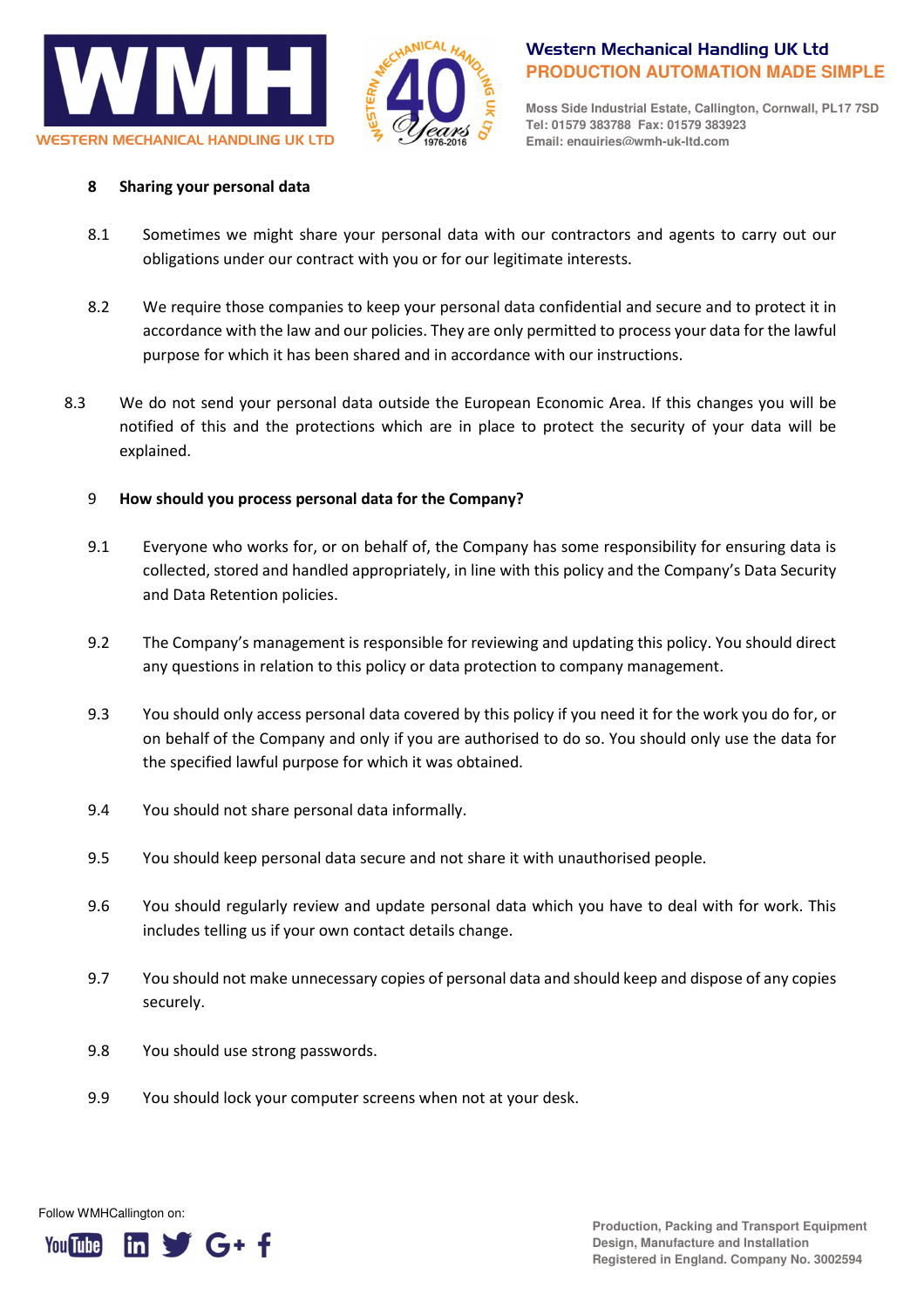



**Moss Side Industrial Estate, Callington, Cornwall, PL17 7SD Tel: 01579 383788 Fax: 01579 383923 Email: enquiries@wmh-uk-ltd.com**

## 8 Sharing your personal data

- 8.1 Sometimes we might share your personal data with our contractors and agents to carry out our obligations under our contract with you or for our legitimate interests.
- 8.2 We require those companies to keep your personal data confidential and secure and to protect it in accordance with the law and our policies. They are only permitted to process your data for the lawful purpose for which it has been shared and in accordance with our instructions.
- 8.3 We do not send your personal data outside the European Economic Area. If this changes you will be notified of this and the protections which are in place to protect the security of your data will be explained.

## 9 How should you process personal data for the Company?

- 9.1 Everyone who works for, or on behalf of, the Company has some responsibility for ensuring data is collected, stored and handled appropriately, in line with this policy and the Company's Data Security and Data Retention policies.
- 9.2 The Company's management is responsible for reviewing and updating this policy. You should direct any questions in relation to this policy or data protection to company management.
- 9.3 You should only access personal data covered by this policy if you need it for the work you do for, or on behalf of the Company and only if you are authorised to do so. You should only use the data for the specified lawful purpose for which it was obtained.
- 9.4 You should not share personal data informally.
- 9.5 You should keep personal data secure and not share it with unauthorised people.
- 9.6 You should regularly review and update personal data which you have to deal with for work. This includes telling us if your own contact details change.
- 9.7 You should not make unnecessary copies of personal data and should keep and dispose of any copies securely.
- 9.8 You should use strong passwords.
- 9.9 You should lock your computer screens when not at your desk.

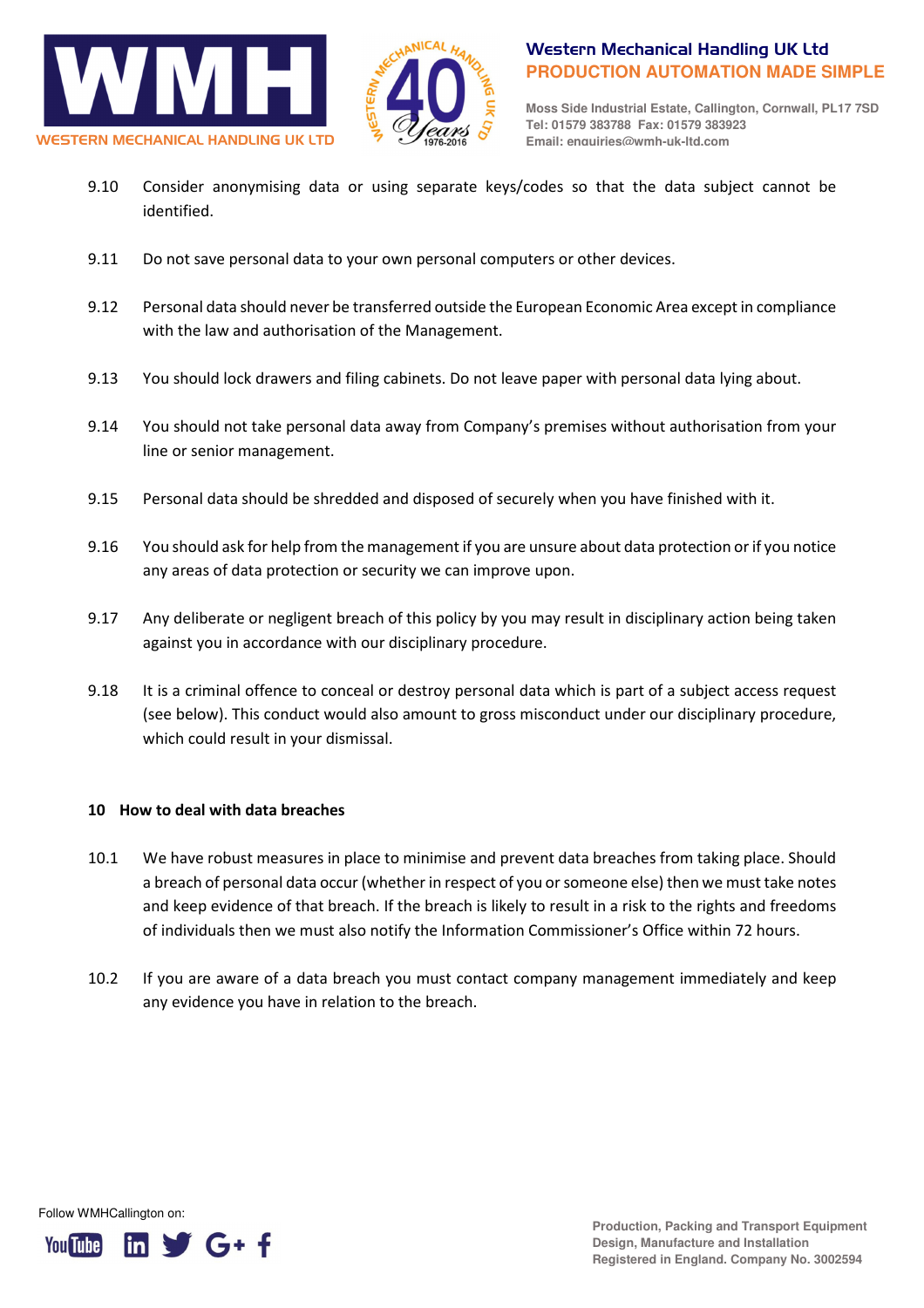



**Moss Side Industrial Estate, Callington, Cornwall, PL17 7SD Tel: 01579 383788 Fax: 01579 383923 Email: enquiries@wmh-uk-ltd.com**

- 9.10 Consider anonymising data or using separate keys/codes so that the data subject cannot be identified.
- 9.11 Do not save personal data to your own personal computers or other devices.
- 9.12 Personal data should never be transferred outside the European Economic Area except in compliance with the law and authorisation of the Management.
- 9.13 You should lock drawers and filing cabinets. Do not leave paper with personal data lying about.
- 9.14 You should not take personal data away from Company's premises without authorisation from your line or senior management.
- 9.15 Personal data should be shredded and disposed of securely when you have finished with it.
- 9.16 You should ask for help from the management if you are unsure about data protection or if you notice any areas of data protection or security we can improve upon.
- 9.17 Any deliberate or negligent breach of this policy by you may result in disciplinary action being taken against you in accordance with our disciplinary procedure.
- 9.18 It is a criminal offence to conceal or destroy personal data which is part of a subject access request (see below). This conduct would also amount to gross misconduct under our disciplinary procedure, which could result in your dismissal.

## 10 How to deal with data breaches

- 10.1 We have robust measures in place to minimise and prevent data breaches from taking place. Should a breach of personal data occur (whether in respect of you or someone else) then we must take notes and keep evidence of that breach. If the breach is likely to result in a risk to the rights and freedoms of individuals then we must also notify the Information Commissioner's Office within 72 hours.
- 10.2 If you are aware of a data breach you must contact company management immediately and keep any evidence you have in relation to the breach.

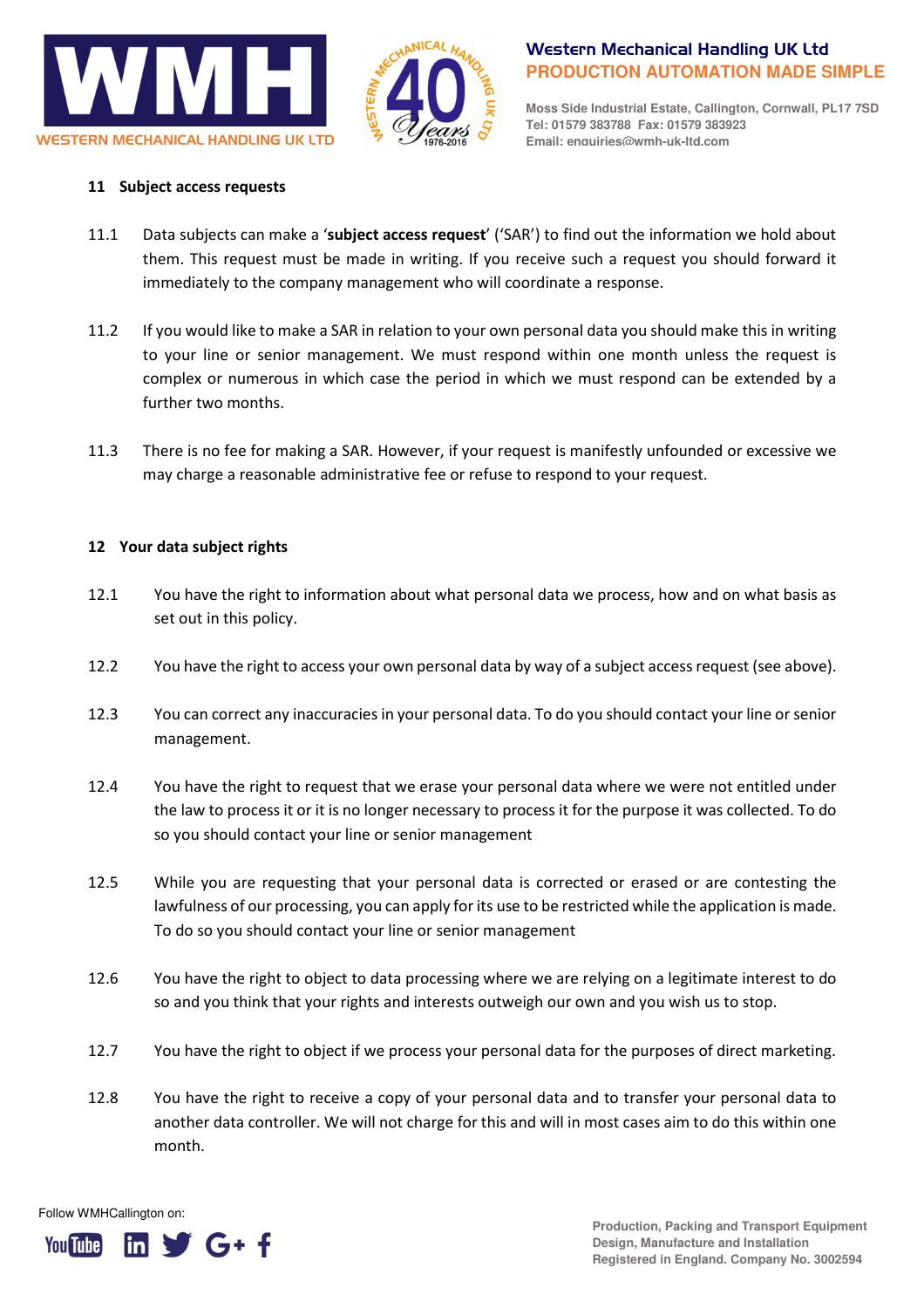



**Moss Side Industrial Estate, Callington, Cornwall, PL17 7SD Tel: 01579 383788 Fax: 01579 383923 Email: enquiries@wmh-uk-ltd.com**

#### 11 Subject access requests

- 11.1 Data subjects can make a 'subject access request' ('SAR') to find out the information we hold about them. This request must be made in writing. If you receive such a request you should forward it immediately to the company management who will coordinate a response.
- 11.2 If you would like to make a SAR in relation to your own personal data you should make this in writing to your line or senior management. We must respond within one month unless the request is complex or numerous in which case the period in which we must respond can be extended by a further two months.
- 11.3 There is no fee for making a SAR. However, if your request is manifestly unfounded or excessive we may charge a reasonable administrative fee or refuse to respond to your request.

#### 12 Your data subject rights

- 12.1 You have the right to information about what personal data we process, how and on what basis as set out in this policy.
- 12.2 You have the right to access your own personal data by way of a subject access request (see above).
- 12.3 You can correct any inaccuracies in your personal data. To do you should contact your line or senior management.
- 12.4 You have the right to request that we erase your personal data where we were not entitled under the law to process it or it is no longer necessary to process it for the purpose it was collected. To do so you should contact your line or senior management
- 12.5 While you are requesting that your personal data is corrected or erased or are contesting the lawfulness of our processing, you can apply for its use to be restricted while the application is made. To do so you should contact your line or senior management
- 12.6 You have the right to object to data processing where we are relying on a legitimate interest to do so and you think that your rights and interests outweigh our own and you wish us to stop.
- 12.7 You have the right to object if we process your personal data for the purposes of direct marketing.
- 12.8 You have the right to receive a copy of your personal data and to transfer your personal data to another data controller. We will not charge for this and will in most cases aim to do this within one month.